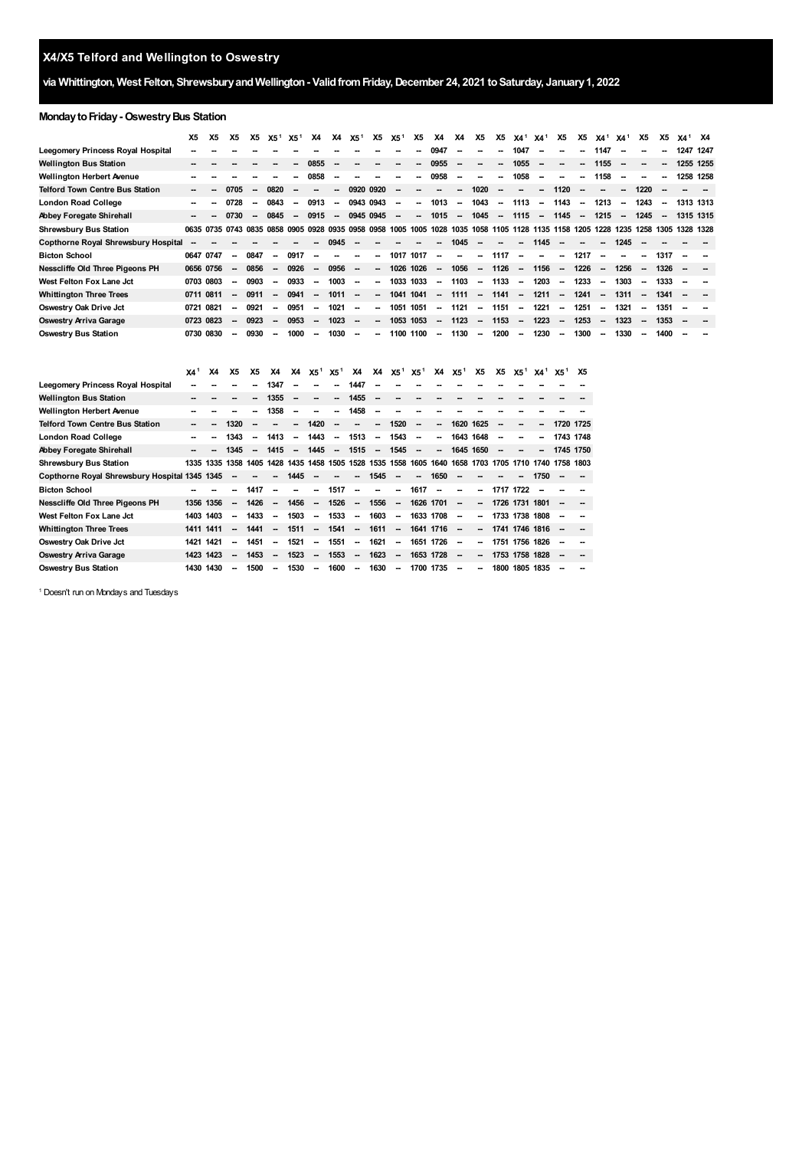## **X4/X5 Telford and Wellington to Oswestry**

## **via Whittington, West Felton, ShrewsburyandWellington- ValidfromFriday,December 24, 2021 toSaturday, January1, 2022**

## **Monday to Friday - Oswestry Bus Station**

|                                        | X5        | Х5 | X5                       | Х5   | X5 <sup>1</sup>          | X5 <sup>1</sup>          | <b>X4</b>                | <b>X4</b>                | X5 <sup>1</sup>          | <b>X5</b>                | X5 <sup>1</sup>          | Х5     | X4                                                                                                                                | <b>X4</b>                | X5                       | <b>X5</b>                | $X4^1$ $X4^1$            |                          | <b>X5</b>                | <b>X5</b>                | $X4^1$ $X4^1$            |                          | X5                       | X5                       | X4 <sup>1</sup> X4 |  |
|----------------------------------------|-----------|----|--------------------------|------|--------------------------|--------------------------|--------------------------|--------------------------|--------------------------|--------------------------|--------------------------|--------|-----------------------------------------------------------------------------------------------------------------------------------|--------------------------|--------------------------|--------------------------|--------------------------|--------------------------|--------------------------|--------------------------|--------------------------|--------------------------|--------------------------|--------------------------|--------------------|--|
| Leegomery Princess Royal Hospital      |           |    |                          |      |                          |                          |                          |                          |                          |                          |                          |        | 0947                                                                                                                              |                          |                          |                          | 1047                     | --                       | --                       | --                       | 1147                     |                          |                          | $\overline{\phantom{a}}$ | 1247 1247          |  |
| <b>Wellington Bus Station</b>          |           |    |                          |      |                          |                          | 0855                     |                          |                          |                          |                          |        | 0955                                                                                                                              | $\overline{\phantom{a}}$ | --                       |                          | 1055                     | $\overline{\phantom{a}}$ | --                       | --                       | 1155                     | $\overline{\phantom{a}}$ | $\overline{\phantom{a}}$ |                          | 1255 1255          |  |
| Wellington Herbert Avenue              |           |    |                          |      |                          | -                        | 0858                     |                          |                          |                          |                          | $\sim$ | 0958                                                                                                                              | $\overline{\phantom{a}}$ | --                       | --                       | 1058                     | $\sim$                   | $\overline{\phantom{a}}$ | --                       | 1158                     | $\overline{\phantom{a}}$ |                          |                          | 1258 1258          |  |
| <b>Telford Town Centre Bus Station</b> |           |    | 0705                     |      | 0820                     |                          | --                       | $\overline{\phantom{a}}$ | 0920 0920                |                          | $\overline{\phantom{a}}$ |        | --                                                                                                                                | $\overline{\phantom{a}}$ | 1020                     | $\sim$                   | $\overline{\phantom{a}}$ | $\overline{\phantom{a}}$ | 1120                     | $\sim$                   | $\overline{\phantom{a}}$ | $\overline{\phantom{a}}$ | 1220                     | $\overline{\phantom{a}}$ |                    |  |
| London Road College                    |           |    | 0728                     |      | 0843                     | $\overline{\phantom{a}}$ | 0913                     | $\overline{\phantom{a}}$ | 0943 0943                |                          | $\overline{\phantom{a}}$ | --     | 1013                                                                                                                              | $\overline{\phantom{a}}$ | 1043                     | $\sim$                   | 1113                     | $\overline{\phantom{a}}$ | 1143                     | $\overline{\phantom{a}}$ | 1213                     | $\overline{\phantom{a}}$ | 1243                     | $\overline{\phantom{a}}$ | 1313 1313          |  |
| Abbey Foregate Shirehall               |           |    | 0730                     |      | 0845                     | $\overline{\phantom{a}}$ | 0915                     | $\sim$                   | 0945 0945                |                          | $\overline{\phantom{a}}$ | $\sim$ | 1015                                                                                                                              | $\overline{\phantom{a}}$ | 1045                     | $\sim$                   | 1115                     | $\sim$                   | 1145                     | $\sim$                   | 1215                     | $\overline{\phantom{a}}$ | 1245                     | $\overline{\phantom{a}}$ | 1315 1315          |  |
| <b>Shrewsbury Bus Station</b>          |           |    |                          |      |                          |                          |                          |                          |                          |                          |                          |        | 0635 0735 0743 0835 0858 0905 0928 0935 0958 0958 1005 1005 1028 1035 1058 1105 1128 1135 1158 1205 1228 1235 1258 1305 1328 1328 |                          |                          |                          |                          |                          |                          |                          |                          |                          |                          |                          |                    |  |
| Copthorne Royal Shrewsbury Hospital    |           |    |                          |      |                          |                          |                          | 0945                     |                          |                          |                          |        | --                                                                                                                                | 1045                     | --                       | $\overline{\phantom{a}}$ | $\overline{\phantom{a}}$ | 1145                     | --                       | $\overline{\phantom{a}}$ | $\overline{\phantom{a}}$ | 1245                     |                          |                          |                    |  |
| <b>Bicton School</b>                   | 0647 0747 |    | $\sim$                   | 0847 | $\overline{\phantom{a}}$ | 0917                     | $\overline{\phantom{a}}$ |                          |                          | $\overline{\phantom{a}}$ | 1017                     | 1017   | -                                                                                                                                 | --                       | --                       | 1117                     | $\overline{\phantom{a}}$ | $\overline{\phantom{a}}$ | --                       | 1217                     | $\overline{\phantom{a}}$ | $\overline{\phantom{a}}$ | $\overline{\phantom{a}}$ | 1317                     |                    |  |
| Nesscliffe Old Three Pigeons PH        | 0656 0756 |    | $\sim$                   | 0856 | $\sim$                   | 0926                     | $\overline{\phantom{a}}$ | 0956                     | $\overline{\phantom{a}}$ | $\sim$                   | 1026 1026                |        | $\sim$                                                                                                                            | 1056                     | $\sim$                   | 1126                     | $\sim$                   | 1156                     | $\sim$                   | 1226                     | $\overline{\phantom{a}}$ | 1256                     | $\sim$                   | 1326                     |                    |  |
| West Felton Fox Lane Jct               | 0703 0803 |    | $\sim$                   | 0903 | -                        | 0933                     | $\overline{\phantom{a}}$ | 1003                     | $\overline{\phantom{a}}$ | -                        | 1033 1033                |        | $\sim$                                                                                                                            | 1103                     | $\sim$                   | 1133                     | $\sim$                   | 1203                     | $\sim$                   | 1233                     | $\overline{\phantom{a}}$ | 1303                     | $\overline{\phantom{a}}$ | 1333                     |                    |  |
| <b>Whittington Three Trees</b>         | 0711 0811 |    |                          | 0911 | $\overline{\phantom{a}}$ | 0941                     | $\overline{\phantom{a}}$ | 1011                     | $\overline{\phantom{a}}$ | -                        | 1041 1041                |        | $\sim$                                                                                                                            | 1111                     | $\overline{\phantom{a}}$ | 1141                     | $\sim$                   | 1211                     | $\overline{\phantom{a}}$ | 1241                     | $\overline{\phantom{a}}$ | 1311                     | $\overline{\phantom{a}}$ | 1341                     |                    |  |
| Oswestry Oak Drive Jct                 | 0721 0821 |    | $\sim$                   | 0921 | -                        | 0951                     | $\overline{\phantom{a}}$ | 1021                     | $\sim$                   | $\sim$                   | 1051 1051                |        | $\sim$                                                                                                                            | 1121                     | $\sim$                   | 1151                     | $\sim$                   | 1221                     | $\sim$                   | 1251                     | $\overline{\phantom{a}}$ | 1321                     | $\overline{\phantom{a}}$ | 1351                     |                    |  |
| Oswestry Arriva Garage                 | 0723 0823 |    | $\overline{\phantom{a}}$ | 0923 | $\overline{\phantom{a}}$ | 0953                     | $\overline{\phantom{a}}$ | 1023                     | $\sim$                   | -                        | 1053 1053                |        | $\sim$                                                                                                                            | 1123                     | $\sim$                   | 1153                     | $\sim$                   | 1223                     | $\overline{\phantom{a}}$ | 1253                     | $\overline{\phantom{a}}$ | 1323                     | $\sim$                   | 1353                     |                    |  |
| <b>Oswestry Bus Station</b>            | 0730 0830 |    | $\overline{\phantom{a}}$ | 0930 | -                        | 1000                     | $\overline{\phantom{a}}$ | 1030                     | $\overline{\phantom{a}}$ | $\overline{\phantom{a}}$ | 1100 1100                |        | $\overline{\phantom{a}}$                                                                                                          | 1130                     | $\overline{\phantom{a}}$ | 1200                     | $\overline{\phantom{a}}$ | 1230                     | $\overline{\phantom{a}}$ | 1300                     | $\overline{\phantom{a}}$ | 1330                     | $\overline{\phantom{a}}$ | 1400                     |                    |  |

|                                               | X4 <sup>1</sup> | X4        | Х5   | Х5   | X4                       | X4                       | X5 <sup>1</sup>          | X5 <sup>1</sup>          | <b>X4</b>                | <b>X4</b>                | $X5^1$ $X5^1$            |                          | X4                       | X5 <sup>1</sup> | <b>X5</b> | X5 | X5 <sup>1</sup> | <b>X4</b> <sup>1</sup> | X5 <sup>1</sup>                                                                 | X5 |
|-----------------------------------------------|-----------------|-----------|------|------|--------------------------|--------------------------|--------------------------|--------------------------|--------------------------|--------------------------|--------------------------|--------------------------|--------------------------|-----------------|-----------|----|-----------------|------------------------|---------------------------------------------------------------------------------|----|
| Leegomery Princess Royal Hospital             |                 |           |      |      | 1347                     |                          |                          |                          | 1447                     |                          |                          |                          |                          |                 |           |    |                 |                        |                                                                                 |    |
| <b>Wellington Bus Station</b>                 |                 |           |      |      | 1355                     | --                       |                          | Ξ.                       | 1455                     | $\overline{\phantom{a}}$ |                          |                          |                          |                 |           |    |                 |                        |                                                                                 |    |
| <b>Wellington Herbert Avenue</b>              |                 |           |      | --   | 1358                     | $\overline{\phantom{a}}$ |                          | --                       | 1458                     | --                       |                          |                          |                          |                 |           |    |                 |                        |                                                                                 |    |
| <b>Telford Town Centre Bus Station</b>        | $\sim$          | --        | 1320 | --   |                          | --                       | 1420                     | --                       |                          | --                       | 1520                     | $\overline{\phantom{a}}$ |                          | 1620            | 1625      | -- |                 |                        | 1720 1725                                                                       |    |
| <b>London Road College</b>                    |                 |           | 1343 | -    | 1413                     | $\overline{\phantom{a}}$ | 1443                     | $\overline{\phantom{a}}$ | 1513                     | $\overline{\phantom{a}}$ | 1543                     | $\overline{\phantom{a}}$ | $\overline{\phantom{a}}$ | 1643 1648       |           | -- |                 |                        | 1743 1748                                                                       |    |
| Abbey Foregate Shirehall                      |                 |           | 1345 | -−   | 1415                     | $\sim$                   | 1445                     | $\overline{\phantom{a}}$ | 1515                     | $\sim$                   | 1545                     | $\overline{\phantom{a}}$ | ш.                       | 1645 1650       |           |    |                 | $\overline{a}$         | 1745 1750                                                                       |    |
| <b>Shrewsbury Bus Station</b>                 | 1335            | 1335      | 1358 | 1405 |                          |                          |                          |                          |                          |                          |                          |                          |                          |                 |           |    |                 |                        | 1428 1435 1458 1505 1528 1535 1558 1605 1640 1658 1703 1705 1710 1740 1758 1803 |    |
| Copthorne Royal Shrewsbury Hospital 1345 1345 |                 |           |      |      |                          | 1445                     |                          |                          | ш.                       | 1545                     | $\overline{\phantom{a}}$ | -                        | 1650                     |                 |           |    |                 | 1750                   |                                                                                 |    |
| <b>Bicton School</b>                          |                 |           |      | 1417 | $\overline{\phantom{a}}$ |                          | --                       | 1517                     | $\overline{\phantom{a}}$ |                          | --                       | 1617                     |                          |                 | --        |    | 1717 1722       |                        |                                                                                 |    |
| Nesscliffe Old Three Pigeons PH               |                 | 1356 1356 | Ξ.   | 1426 | $\overline{\phantom{a}}$ | 1456                     |                          | $- 1526$                 | $\sim$                   | 1556                     | $\overline{\phantom{a}}$ | 1626 1701                |                          |                 | --        |    | 1726 1731 1801  |                        |                                                                                 |    |
| West Felton Fox Lane Jct                      |                 | 1403 1403 | --   | 1433 |                          | 1503                     | -                        | 1533                     | $\overline{\phantom{a}}$ | 1603                     | $\overline{\phantom{a}}$ | 1633 1708                |                          | --              | --        |    | 1733 1738 1808  |                        | --                                                                              |    |
| <b>Whittington Three Trees</b>                | 1411 1411       |           | --   | 1441 |                          | 1511                     | -                        | 1541                     | $\overline{\phantom{a}}$ | 1611                     | $\overline{\phantom{a}}$ | 1641 1716                |                          |                 | --        |    | 1741 1746 1816  |                        |                                                                                 |    |
| Oswestry Oak Drive Jct                        | 1421            | 1421      | -    | 1451 | -                        | 1521                     | $\overline{\phantom{a}}$ | 1551                     | $\overline{\phantom{a}}$ | 1621                     | $\overline{\phantom{a}}$ | 1651 1726                |                          | --              | --        |    | 1751 1756 1826  |                        | --                                                                              |    |
| <b>Oswestry Arriva Garage</b>                 |                 | 1423 1423 | --   | 1453 |                          | 1523                     | -                        | 1553                     | $\overline{\phantom{a}}$ | 1623                     | $\overline{\phantom{a}}$ | 1653 1728                |                          | --              | --        |    | 1753 1758 1828  |                        | --                                                                              |    |
| <b>Oswestry Bus Station</b>                   |                 | 1430 1430 | --   | 1500 | -                        | 1530                     | $\overline{\phantom{a}}$ | 1600                     | $\overline{\phantom{a}}$ | 1630                     | $\overline{\phantom{a}}$ | 1700 1735                |                          | --              | --        |    | 1800 1805 1835  |                        | --                                                                              |    |

<span id="page-0-0"></span><sup>1</sup> Doesn't run on Mondays and Tuesdays